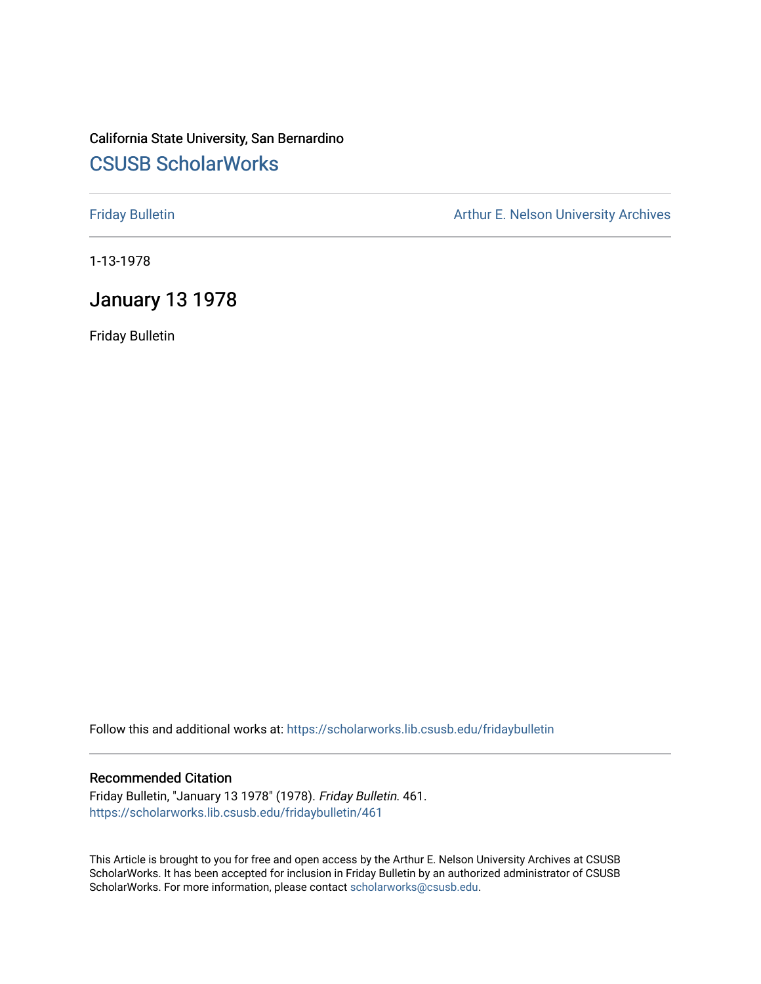# California State University, San Bernardino [CSUSB ScholarWorks](https://scholarworks.lib.csusb.edu/)

[Friday Bulletin](https://scholarworks.lib.csusb.edu/fridaybulletin) **Arthur E. Nelson University Archives** Arthur E. Nelson University Archives

1-13-1978

# January 13 1978

Friday Bulletin

Follow this and additional works at: [https://scholarworks.lib.csusb.edu/fridaybulletin](https://scholarworks.lib.csusb.edu/fridaybulletin?utm_source=scholarworks.lib.csusb.edu%2Ffridaybulletin%2F461&utm_medium=PDF&utm_campaign=PDFCoverPages)

### Recommended Citation

Friday Bulletin, "January 13 1978" (1978). Friday Bulletin. 461. [https://scholarworks.lib.csusb.edu/fridaybulletin/461](https://scholarworks.lib.csusb.edu/fridaybulletin/461?utm_source=scholarworks.lib.csusb.edu%2Ffridaybulletin%2F461&utm_medium=PDF&utm_campaign=PDFCoverPages)

This Article is brought to you for free and open access by the Arthur E. Nelson University Archives at CSUSB ScholarWorks. It has been accepted for inclusion in Friday Bulletin by an authorized administrator of CSUSB ScholarWorks. For more information, please contact [scholarworks@csusb.edu.](mailto:scholarworks@csusb.edu)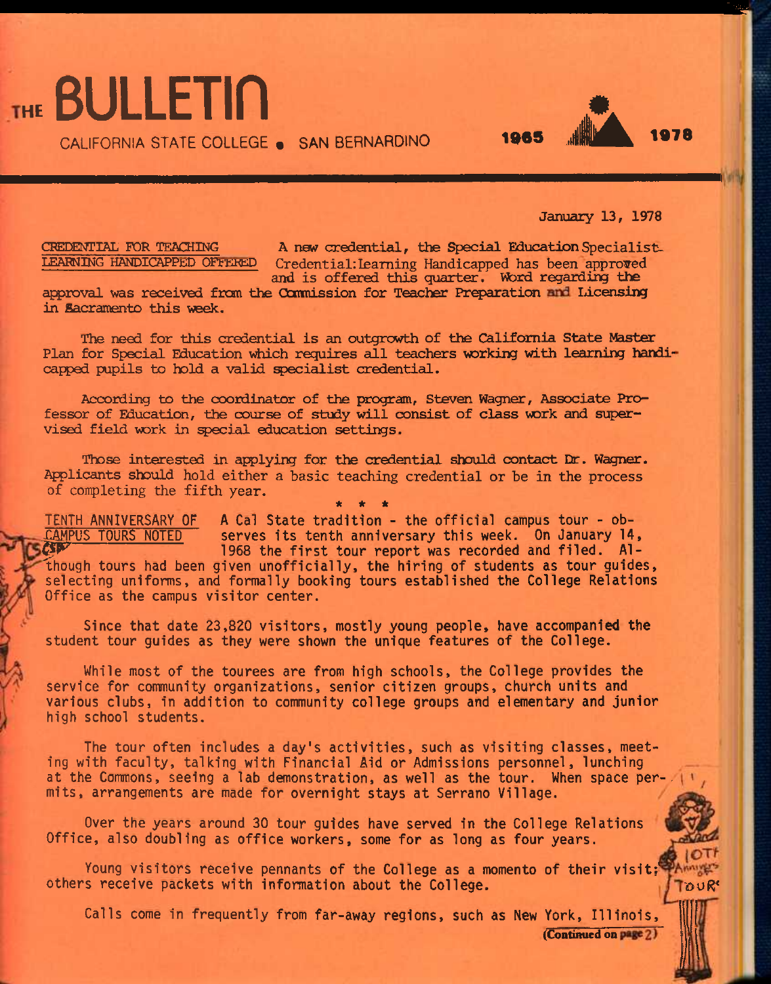CALIFORNIA STATE COLLEGE . SAN BERNARDINO

**January 13, 1978** 

1965 **JSk 1978** 

THE BULLETIN

**CREDENTIAL FOR TEACHING** A new credential, the Special Education Specialist.<br>
LEARNING HANDICAPPED OFFERED Credential: Learning Handicapped bas been approved Credential: Learning Handicapped has been approved **and is offered this quarter, Word regarding the** 

approval was received from the Commission for Teacher Preparation and Licensing **in Sacramento this week.** 

**The need for this credential is an outgrowth of the California State Master**  Plan for Special Education which requires all teachers working with learning handicapped pupils to hold a valid specialist credential.

**According to the coordinator of the program, Steven Wagner, Associate Professor of Education, the course of study will consist of class vork and supervised field vork in** *special* **education settings.** 

**Those interested in applying for the credential should contact Er. Wagner,**  Applicants should hold either a basic teaching credential or be in the process of completing the fifth year. **\* \* \*** 

TENTH ANNIVERSARY OF A Cal State tradition - the official campus tour - ob serves its tenth anniversary this week. On January 14, 1968 the first tour report was recorded and filed. Although tours had been given unofficially, the hiring of students as tour guides, selecting uniforms, and formally booking tours established the College Relations Office as the campus visitor center.

Since that date 23,820 visitors, mostly young people, have accompanied the student tour guides as they were shown the unique features of the College.

While most of the tourees are from high schools, the College provides the service for community organizations, senior citizen groups, church units and various clubs, in addition to community college groups and elementary and junior high school students.

The tour often includes a day's activities, such as visiting classes, meeting with faculty, talking with Financial Aid or Admissions personnel, lunching at the Commons, seeing a lab demonstration, as well as the tour. When space permits, arrangements are made for overnight stays at Serrano Village.

Over the years around 30 tour guides have served in the College Relations Office, also doubling as office workers, some for as long as four years.

Young visitors receive pennants of the College as a momento of their visit;<sup>exp</sup> Annivers others receive packets with information about the College.

Calls come in frequently from far-away regions, such as New York, Illinois,

(Continued on page 2)

 $10Tf$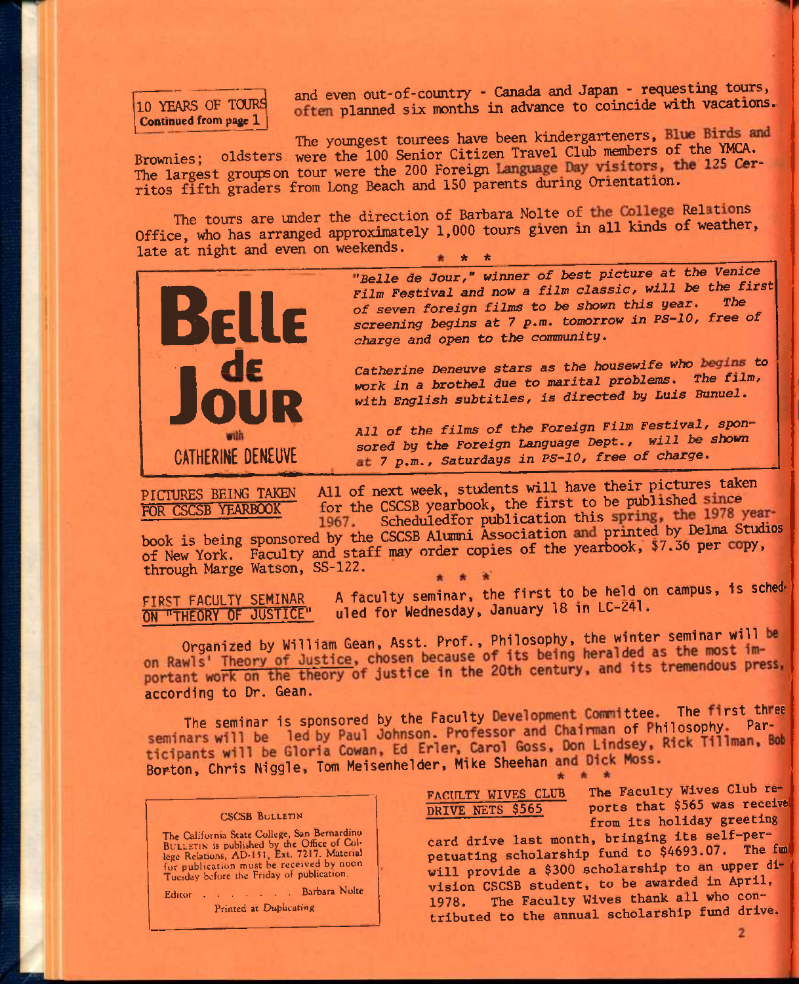# 10 YEARS OF TOURS Continued from page 1

and even out-of-country - Canada and Japan - requesting tours, often planned six months in advance to coincide with vacations.

The youngest tourees have been kindergarteners, Blue Birds and Brownies; oldsters were the 100 Senior Citizen Travel Club members of the YMCA. The largest groups on tour were the 200 Foreign Language Day visitors, the 125 Cerritos fifth graders from Long Beach and 150 parents during Orientation.

The tours are under the direction of Barbara Nolte of the College Relations Office, who has arranged approximately 1,000 tours given in all kinds of weather, late at night and even on weekends. \* \*



"Belle de Jour," winner of best picture at the Venice Film Festival and now a film classic, will be the first of seven foreign films to be shown this year. The screening begins at 7 p.m. tomorrow in PS-10, free of charge and open to the community.

Catherine Deneuve stars as the housewife who begins to work in a brothel due to marital problems. The film, with English subtitles, is directed by Luis Bunuel.

All of the films of the Foreign Film Festival, sponsored by the Foreign Language Dept., will be shown at 7 p.m., Saturdays in PS-10, free of charge.

PICTURES BEING TAKEN FOR CSCSB YEARBOOK

All of next week, students will have their pictures taken for the CSCSB yearbook, the first to be published since 1967. Scheduledfor publication this spring, the 1978 year-

book is being sponsored by the CSCSB Alumni Association and printed by Delma Studios of New York. Faculty and staff may order copies of the yearbook, \$7.36 per copy, through Marge Watson, SS-122.

FIRST FACULTY SEMINAR ON "THEORY OF JUSTICE"

A faculty seminar, the first to be held on campus, is scheduled for Wednesday, January 18 in LC-241.

Organized by William Gean, Asst. Prof., Philosophy, the winter seminar will be on Rawls' Theory of Justice, chosen because of its being heralded as the most important work on the theory of justice in the 20th century, and its tremendous press, according to Dr. Gean.

The seminar is sponsored by the Faculty Development Committee. The first three seminars will be led by Paul Johnson. Professor and Chairman of Philosophy. Participants will be Gloria Cowan, Ed Erler, Carol Goss, Don Lindsey, Rick Tillman, Bob Borton, Chris Niggle, Tom Meisenhelder, Mike Sheehan and Dick Moss.

#### **CSCSB BULLETIN**

The California State College, San Bernardino BULLETIN is published by the Office of College Relations, AD-151, Ext. 7217. Material<br>for publication must be received by noon Tuesday before the Friday of publication.

Editor . . . . . . . Barbara Nolte

Printed at Duplicating

FACULTY WIVES CLUB DRIVE NETS \$565

The Faculty Wives Club reports that \$565 was received from its holiday greeting

card drive last month, bringing its self-perpetuating scholarship fund to \$4693.07. The fun will provide a \$300 scholarship to an upper division CSCSB student, to be awarded in April, The Faculty Wives thank all who con-1978. tributed to the annual scholarship fund drive.

 $\mathbf{2}$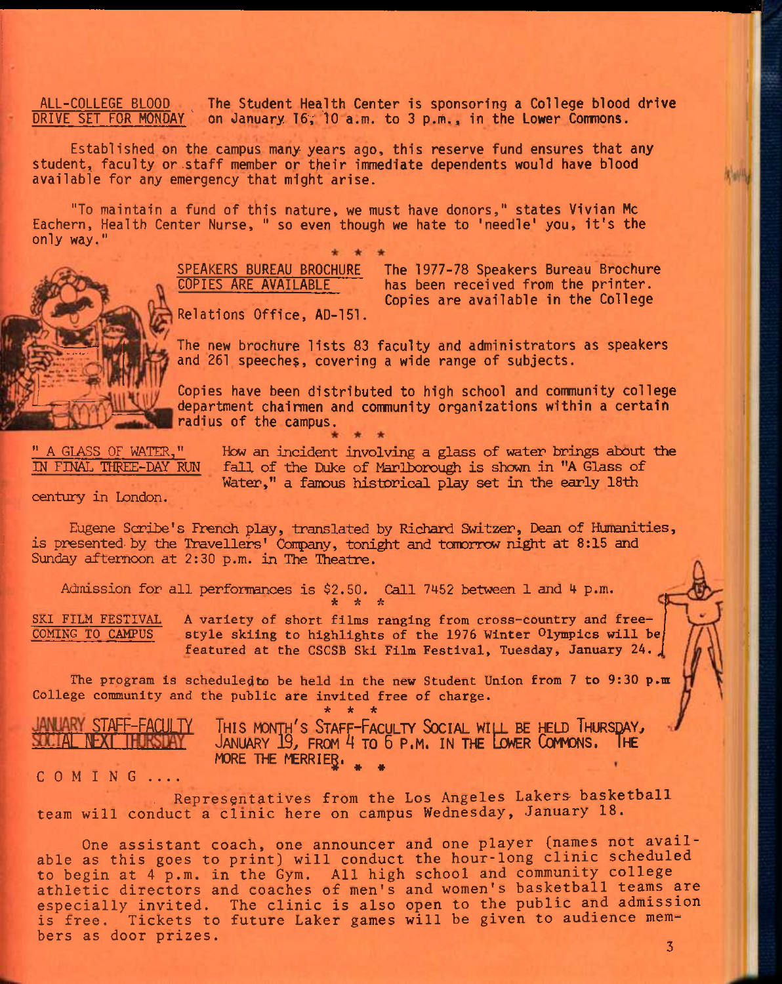ALL-COLLEGE BLOOD The Student Health Center is sponsoring a College blood drive<br>DRIVE SET FOR MONDAY on January 16, 10 a.m. to 3 p.m., in the Lower Commons. on January 16; 10 a.m. to 3 p.m., in the Lower Commons.

Established on the campus many years ago, this reserve fund ensures that any student, faculty or .staff member or their immediate dependents would have blood available for any emergency that might arise.

"To maintain a fund of this nature, we must have donors," states Vivian Mc Eachern, Health Center Nurse, " so even though we hate to 'needle' you, it's the only way."



SPEAKERS BUREAU BROCHURE COPIES ARE AVAILABLE

The 1977-78 Speakers Bureau Brochure has been received from the printer. Copies are available in the College

Relations Office, AD-151.

The new brochure lists 83 faculty and administrators as speakers and 261 speeches, covering a wide range of subjects.

Copies have been distributed to high school and community college department chairmen and community organizations within a certain radius of the campus.

**" A GLASS OF WATER,"**  IN FINAL THREE-DAY RUN **How an incident involving a glass of water brings about the**  fall of the Duke of Marlborough is shown in "A Glass of **Water," a famous historical play set in the early 18th** 

**century in London.** 

**Eugene Scribe's French play, translated by Richard Switzer, Dean of Humanities,**  is presented by the Travellers' Company, tonight and tomorrow night at 8:15 and **Sunday afternoon at 2:30 p.m. in The Theatre.** 

**Admission for all perforrrences is \$2.50. Call 7452 between 1 and 4 p.m.**  *it ^ \** 

**SKI FILM FESTIVAL A variety of short films ranging from cross-country and free**style skiing to highlights of the 1976 Winter Olympics will be featured at the CSCSB Ski Film Festival, Tuesday, January 24.

The program is scheduledto be held in the new Student Union from 7 to 9:30 p.m **College community and the public are invited free of charge. \* \* \*** 

**STAFF-FACULTY T**HIS MONTH'S **S**TAFF-**F**ACULTY **S**OCIAL WILL BE HELD **T**HURSDAY^ **ALNBXI I J**ANUARY 19^ FROM **A** TO **<sup>6</sup>**P.M. IN THE &ER **C**OMMONS. **T**HE **MORE THE MERRIER.** 

COMING...

**, Representatives from the Los Angeles Lakers- basketball team will conduct a clinic here on campus Wednesday, January 18.** 

**One assistant coach, one announcer and one player (names not available as this goes to print) will conduct the hour-long clinic scheduled to begin at 4 p.m. in the Gym. All high school and community college athletic directors and coaches of men's and women's basketball teams are especially invited. The clinic is also open to the public and admission is free. Tickets to future Laker games will be given to audience mem-^ bers as door prizes.**   *3*  $\frac{1}{2}$  **3 3 3 4**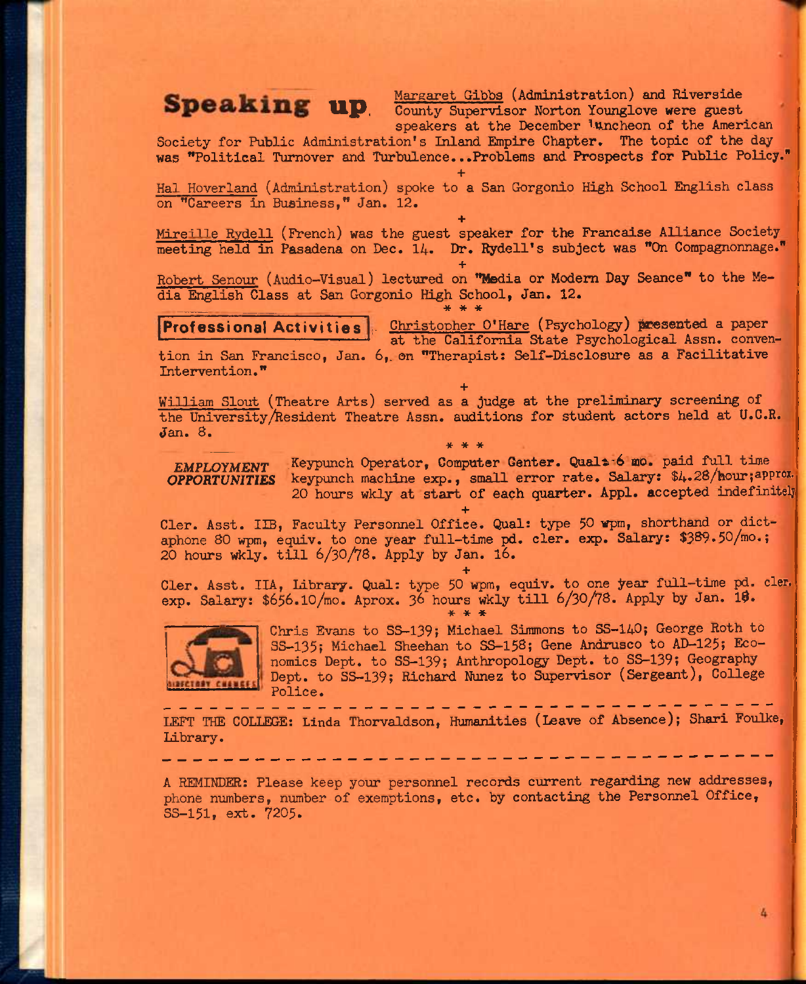**Margaret Gibbs (Administration) and Riverside Speaking up** County Supervisor Norton Younglove were guest speakers at the December *luncheon* of the American

**Society for Public Administration's Inland Empire Chapter. The topic of the day was "Political Turnover and Turbulence...Problems and Prospects for Public Policy."** 

**+ Hal Hoverland (Administration) spoke to a San Gorgonio High School English class on "Careers in Business," Jan. 12.** 

**+ Mireille Rydell (French) was the guest speaker for the Francaise Alliance Society meeting held in Pasadena on Dec. 14- Dr. Rydell's subject was "On Compagnonnage."** 

**+ Robert Senour (Audio—Visual) lectured on "Media or Modem Day Seance" to the Media English Class at San Gorgonio High School, Jan. 12.**  \* \* \*

**Professional Activities** | Christopher O'Hare (Psychology) presented a paper at the California State Psychological Assn. conven**tion in San Francisco, Jan. 6,. on "Therapist: Self-Disclosure as a Facilitative Intervention."** 

**+ William Slout (Theatre Arts) served as a judge at the preliminary screening of** the University/Resident Theatre Assn. auditions for student actors held at U.C.R. **Jan. 8.**  \* \* \*

*EMPLOYMENT Keypunch Operator, Computer Genter. Qual*  $\approx$  6 mo. paid full time *OPPORTUNITIES* **keypunch machine exp., small error rate. Salary:** \$4.28/hour**;approx. 20 hours wkly at start of each quarter. Appl. accepted indefinitely** 

**+ Cler. Asst. IIB, Faculty Personnel Office. Qual: type 50 vpm, shorthand or dictaphone 80 wpm, equiv. to one year full-time pd. cler. exp. Salary: \$389.50/mo.; 20 hours vrfcly. till** 6/3O/V8. **Apply by Jan.** I6.

**+**  Cler. Asst. IIA, Library. Qual: type 50 wpm, equiv. to one year full-time pd. cler. **exp. Salary: \$656.10/mo. Aprox. 3^ hours wkly till** 6/3O/78. **Apply by Jan. 1\$. \* \* \*** 



**Chris Evans to SS-139; Michael Simmons to SS**-I4O; **George Roth to 3S-135; Michael Sheehan to SS**-158; **Gene Andrusco to AD-125; Eco**nomics Dept. to SS-139; Anthropology Dept. to SS-139; Geography **Dept. to SS-139; Richard Nunez to Supervisor (Sergeant), College Police.** 

**LEFT THE COLLEGE: Linda Thorvaldson, Humanities (Leave of Absence); Shari Foulke, Library.** 

**A REMINDER: Please keep your personnel records current regarding new addresses, phone numbers, number of exemptions, etc. by contacting the Personnel Office, SS**-151, **ext. 7205.**